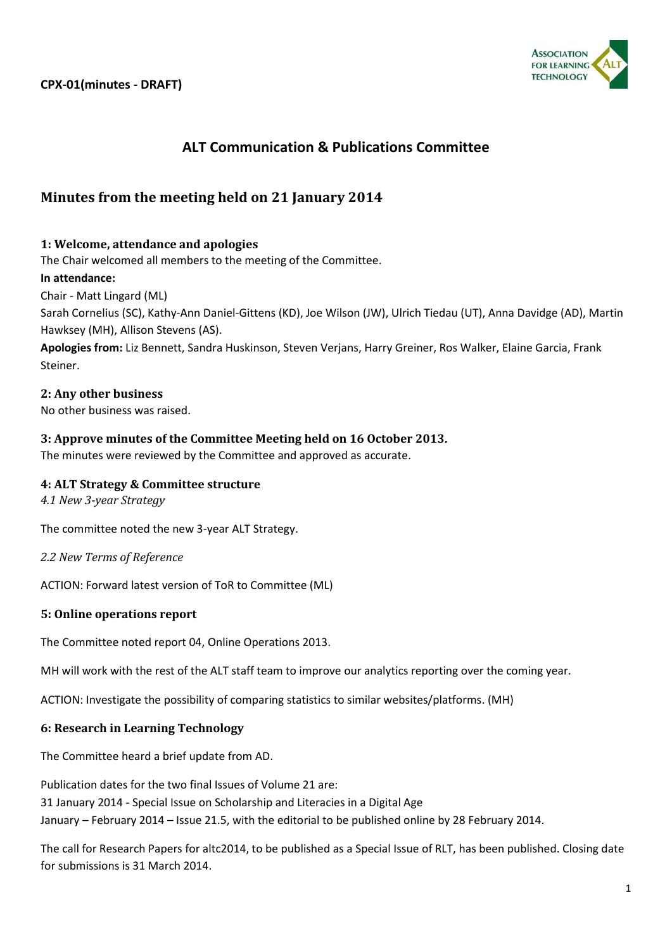

# **ALT Communication & Publications Committee**

## **Minutes from the meeting held on 21 January 2014**

## **1: Welcome, attendance and apologies**

The Chair welcomed all members to the meeting of the Committee.

#### **In attendance:**

Chair - Matt Lingard (ML)

Sarah Cornelius (SC), Kathy-Ann Daniel-Gittens (KD), Joe Wilson (JW), Ulrich Tiedau (UT), Anna Davidge (AD), Martin Hawksey (MH), Allison Stevens (AS).

**Apologies from:** Liz Bennett, Sandra Huskinson, Steven Verjans, Harry Greiner, Ros Walker, Elaine Garcia, Frank Steiner.

## **2: Any other business**

No other business was raised.

## **3: Approve minutes of the Committee Meeting held on 16 October 2013.**

The minutes were reviewed by the Committee and approved as accurate.

## **4: ALT Strategy & Committee structure**

*4.1 New 3-year Strategy*

The committee noted the new 3-year ALT Strategy.

*2.2 New Terms of Reference*

ACTION: Forward latest version of ToR to Committee (ML)

## **5: Online operations report**

The Committee noted report 04, Online Operations 2013.

MH will work with the rest of the ALT staff team to improve our analytics reporting over the coming year.

ACTION: Investigate the possibility of comparing statistics to similar websites/platforms. (MH)

## **6: Research in Learning Technology**

The Committee heard a brief update from AD.

Publication dates for the two final Issues of Volume 21 are: 31 January 2014 - Special Issue on Scholarship and Literacies in a Digital Age January – February 2014 – Issue 21.5, with the editorial to be published online by 28 February 2014.

The call for Research Papers for altc2014, to be published as a Special Issue of RLT, has been published. Closing date for submissions is 31 March 2014.